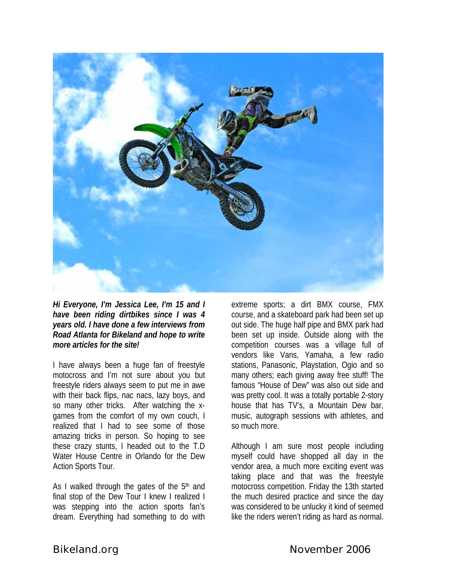

*Hi Everyone, I'm Jessica Lee, I'm 15 and I have been riding dirtbikes since I was 4 years old. I have done a few interviews from Road Atlanta for Bikeland and hope to write more articles for the site!* 

I have always been a huge fan of freestyle motocross and I'm not sure about you but freestyle riders always seem to put me in awe with their back flips, nac nacs, lazy boys, and so many other tricks. After watching the xgames from the comfort of my own couch, I realized that I had to see some of those amazing tricks in person. So hoping to see these crazy stunts, I headed out to the T.D Water House Centre in Orlando for the Dew Action Sports Tour.

As I walked through the gates of the  $5<sup>th</sup>$  and final stop of the Dew Tour I knew I realized I was stepping into the action sports fan's dream. Everything had something to do with

extreme sports; a dirt BMX course, FMX course, and a skateboard park had been set up out side. The huge half pipe and BMX park had been set up inside. Outside along with the competition courses was a village full of vendors like Vans, Yamaha, a few radio stations, Panasonic, Playstation, Ogio and so many others; each giving away free stuff! The famous "House of Dew" was also out side and was pretty cool. It was a totally portable 2-story house that has TV's, a Mountain Dew bar, music, autograph sessions with athletes, and so much more.

Although I am sure most people including myself could have shopped all day in the vendor area, a much more exciting event was taking place and that was the freestyle motocross competition. Friday the 13th started the much desired practice and since the day was considered to be unlucky it kind of seemed like the riders weren't riding as hard as normal.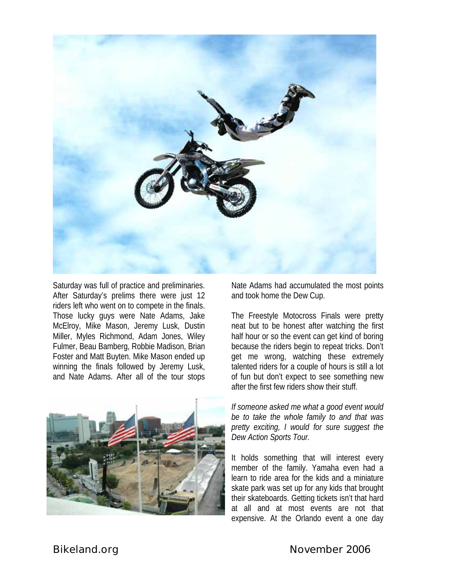

Saturday was full of practice and preliminaries. After Saturday's prelims there were just 12 riders left who went on to compete in the finals. Those lucky guys were Nate Adams, Jake McElroy, Mike Mason, Jeremy Lusk, Dustin Miller, Myles Richmond, Adam Jones, Wiley Fulmer, Beau Bamberg, Robbie Madison, Brian Foster and Matt Buyten. Mike Mason ended up winning the finals followed by Jeremy Lusk, and Nate Adams. After all of the tour stops



Nate Adams had accumulated the most points and took home the Dew Cup.

The Freestyle Motocross Finals were pretty neat but to be honest after watching the first half hour or so the event can get kind of boring because the riders begin to repeat tricks. Don't get me wrong, watching these extremely talented riders for a couple of hours is still a lot of fun but don't expect to see something new after the first few riders show their stuff.

*If someone asked me what a good event would be to take the whole family to and that was pretty exciting, I would for sure suggest the Dew Action Sports Tour.*

It holds something that will interest every member of the family. Yamaha even had a learn to ride area for the kids and a miniature skate park was set up for any kids that brought their skateboards. Getting tickets isn't that hard at all and at most events are not that expensive. At the Orlando event a one day